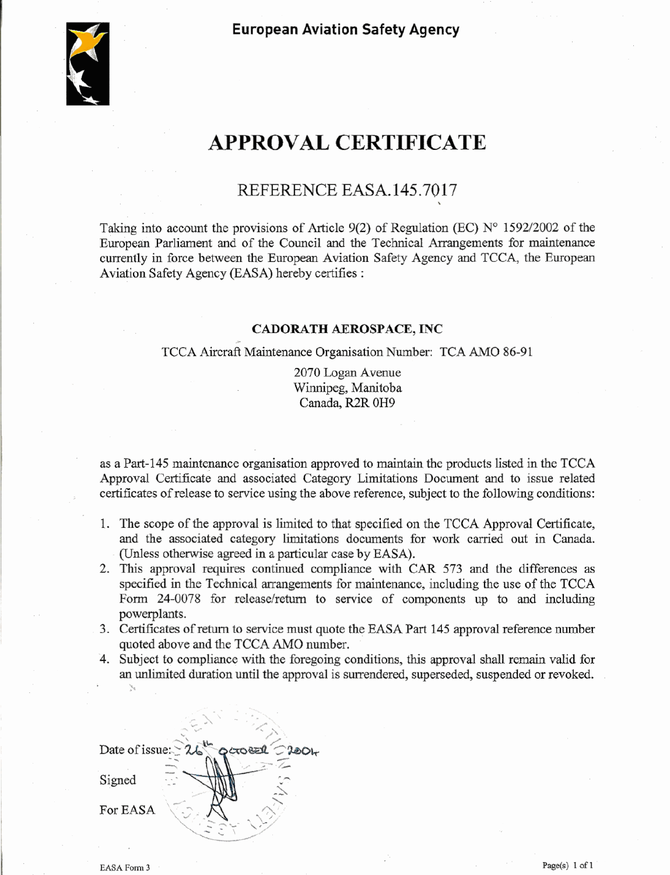**European Aviation Safety Agency** 



# **APPROVAL CERTIFICATE**

# **REFERENCE EASA. 145.70 17**

Taking into account the provisions of Article **9(2)** of Regulation (EC) **No 159212002** of the European Parliament and of the Council and the Technical Arrangements for maintenance currently in force between the European Aviation Safety Agency and TCCA, the European Aviation Safety Agency (EASA) hereby certifies :

#### CADORATH AEROSPACE, **INC**

#### TCCA Aircraft Maintenance Organisation Number: TCA AMO 86-91

**2070** Logan Avenue Winnipeg, Manitoba Canada, R2R **OH9** 

as a **Part-145** maintenance organisation approved to maintain the products listed in the TCCA Approval Certificate and associated Category Limitations Document and to issue related certificates of release to service using the above reference, subject to the following conditions:

- 1. The scope of the approval is limited to that specified on the TCCA Approval Certificate, and the associated category limitations documents for work carried out in Canada. (Unless otherwise agreed in a particular case by EASA).
- **2.** This approval requires continued compliance with CAR 573 and the differences as specified in the Technical arrangements for maintenance, including the use of the TCCA Form 24-0078 for release/return to service of components up to and including powerplants.
- **3.** Certificates of return to service must quote the EASA **Part 145** approval reference number quoted above and the TCCA **AM0** number.
- **4.** Subject to compliance **with** the foregoing conditions, this approval shall remain valid for an **unlimited** duration until the approval is surrendered, superseded, suspended or revoked.

 $\mathbb{R}^{n \times n}$  $\mathcal{L}$ Date of issue: **ಾರಂ**ಕಾರಿ  $2l$ Signed For EASA

**s**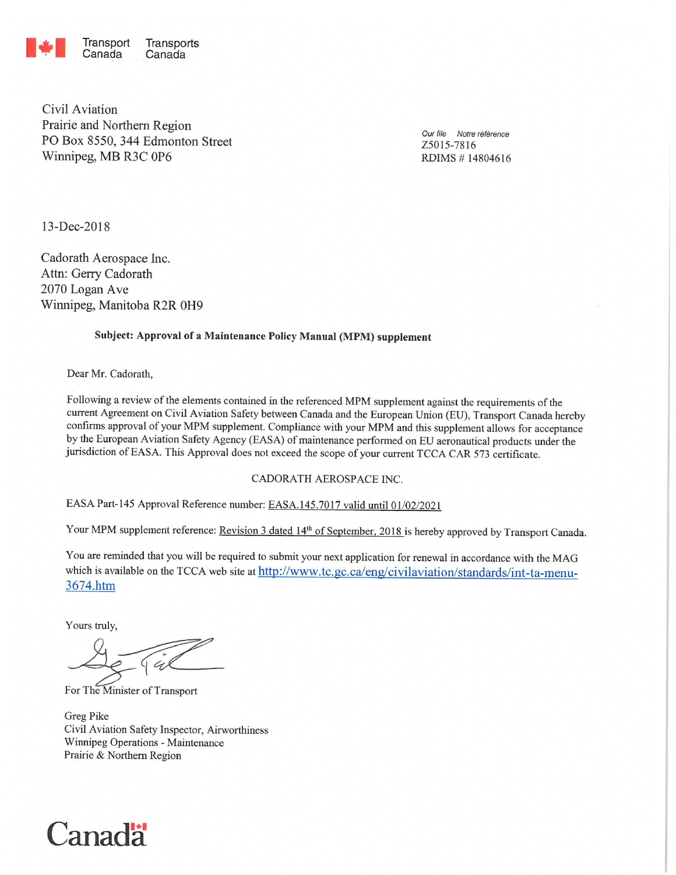

Transports Canada

Civil Aviation Prairie and Northern Region PO Box 8550, 344 Edmonton Street Winnipeg, MB R3C 0P6

Our file Notre référence Z5015-7816 RDIMS #14804616

13-Dec-2018

Cadorath Aerospace Inc. Attn: Gerry Cadorath 2070 Logan Ave Winnipeg, Manitoba R2R 0H9

#### Subject: Approval of a Maintenance Policy Manual (MPM) supplement

Dear Mr. Cadorath,

Following a review of the elements contained in the referenced MPM supplement against the requirements of the current Agreement on Civil Aviation Safety between Canada and the European Union (EU), Transport Canada hereby confirms approval of your MPM supplement. Compliance with your MPM and this supplement allows for acceptance by the European Aviation Safety Agency (EASA) of maintenance performed on EU aeronautical products under the jurisdiction of EASA. This Approval does not exceed the scope of your current TCCA CAR 573 certificate.

#### CADORATH AEROSPACE INC.

EASA Part-145 Approval Reference number: EASA.145.7017 valid until 01/02/2021

Your MPM supplement reference: Revision 3 dated 14th of September, 2018 is hereby approved by Transport Canada.

You are reminded that you will be required to submit your next application for renewal in accordance with the MAG which is available on the TCCA web site at http://www.tc.gc.ca/eng/civilaviation/standards/int-ta-menu-3674.htm

Yours truly,

For The Minister of Transport

Greg Pike Civil Aviation Safety Inspector, Airworthiness Winnipeg Operations - Maintenance Prairie & Northern Region

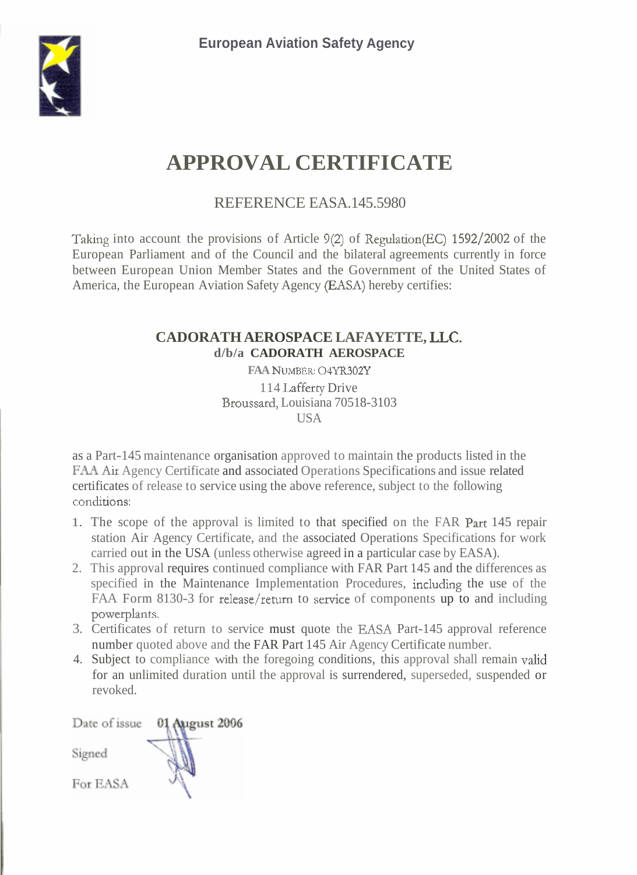

# **APPROVAL CERTIFICATE**

REFERENCE EASA.145.5980

Taking into account the provisions of Article 9(2) of Regulation(EC) 1592/2002 of the America, the European Aviation Safety Agency (EASA) hereby certifies: European Parliament and of the Council and the bilateral agreements currently in force between European Union Member States and the Government of the United States of

# **LLC. CADORATH AEROSPACE LAFAYETTE, d/b/a CADORATH AEROSPACE**

**FAA NUMBER: O4YR302Y** 114 Lafferty Drive Broussard, Louisiana 70518-3103 USA

FAA *Aix*  Agency Certificate and associated Operations Specifications and issue related conditions: as a Part-145 maintenance organisation approved to maintain the products listed in the certificates of release to service using the above reference, subject to the following

- 1. The scope of the approval is limited to that specified on the FAR Part 145 repair station Air Agency Certificate, and the associated Operations Specifications for work carried out in the USA (unless otherwise agreed in a particular case by EASA).
- specified in the Maintenance Implementation Procedures, including the use of the FAA Form 8130-3 for release/return to service of components up to and including powerplants. 2. This approval requires continued compliance with FAR Part 145 and the differences as
- 3. Certificates of return to service must quote the EASA Part-145 approval reference number quoted above and the FAR Part 145 Air Agency Certificate number.
- 4. Subject to compliance with the foregoing conditions, this approval shall remain valid for an unlimited duration until the approval is surrendered, superseded, suspended or revoked.

Date of issue 01 August 2006 Signed For EASA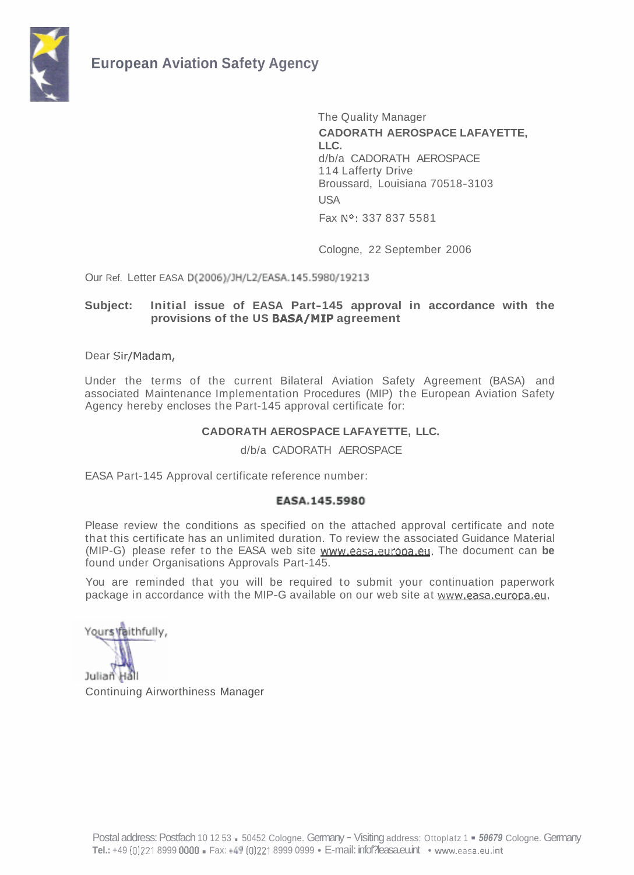

**No:**  Fax 337 837 5581 The Quality Manager **CADORATH AEROSPACE LAFAYETTE, LLC.**  d/b/a CADORATH AEROSPACE 114 Lafferty Drive Broussard, Louisiana 70518-3103 **USA** 

Cologne, 22 September 2006

Our Ref. Letter EASA D(2006)/JH/L2/EASA.145.5980/19213

#### provisions of the US **BASA/MIP** agreement **Subject: Initial issue of EASA Part-145 approval in accordance with the**

Dear Sir/Madam,

Under the terms of the current Bilateral Aviation Safety Agreement (BASA) and associated Maintenance Implementation Procedures (MIP) the European Aviation Safety Agency hereby encloses the Part-145 approval certificate for:

#### **CADORATH AEROSPACE LAFAYETTE, LLC.**

d/b/a CADORATH AEROSPACE

EASA Part-145 Approval certificate reference number:

#### EASA.145.5980

(MIP-G) please refer to the EASA web site www.easa.europa.eu. The document can be Please review the conditions as specified on the attached approval certificate and note that this certificate has an unlimited duration. To review the associated Guidance Material found under Organisations Approvals Part-145.

package in accordance with the MIP-G available on our web site at www.easa.europa.eu. You are reminded that you will be required to submit your continuation paperwork

Yours Vaithfully,

Julian Hall Continuing Airworthiness Manager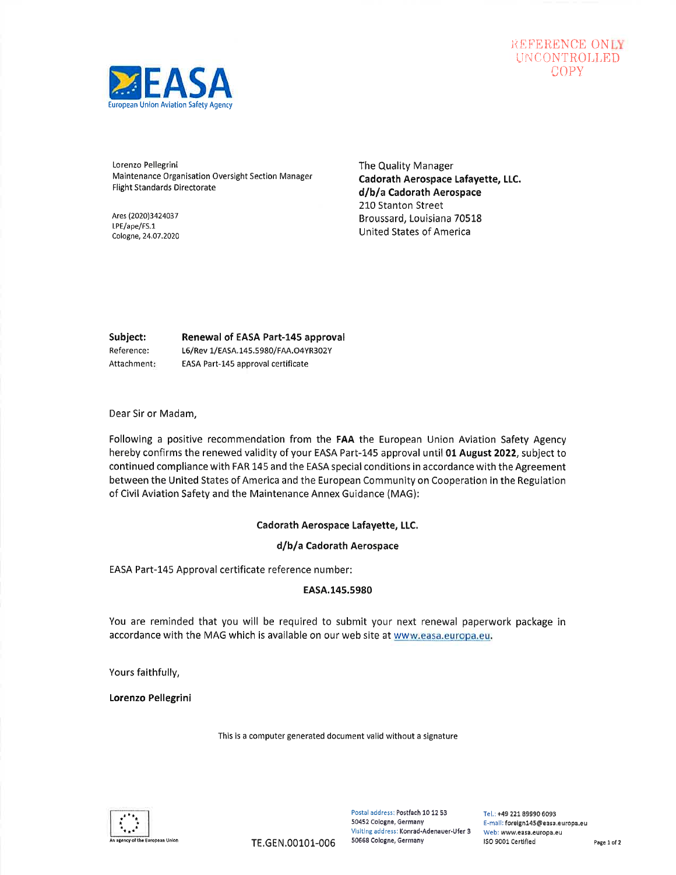# REFERENCE ONLY UNCONTROLLED



Lorenzo Pellegrini Maintenance Organisation Oversight Section Manager Flight Standards Directorate

Ares (2020)3424037 LPE/ape/FS.1 Cologne,24,07 ,2020 The Quality Manager Cadorath Aerospace Lafayette, LLC. d/b/a Cadorath Aerospace 210 Stanton Street Broussard, Louisiana 70518 United States of America

Subject: Reference: Attachment Renewal of EASA Part-145 approval L6/Rev 1/EASA.145.5980/FAA.O4YR302Y EASA Part-145 approval certificate

Dear Sir or Madam,

Following a positive recommendation from the FAA the European Union Aviation Safety Agency hereby confirms the renewed validity of your EASA Part-145 approval until 01 August 2022, subject to continued compliance with FAR 145 and the EASA special conditions in accordance with the Agreement between the United States of America and the European Community on Cooperation in the Regulation of Civil Aviation Safety and the Maintenance Annex Guidance (MAG):

#### Cadorath Aerospace Lafayette, LLC.

#### d/b/a Cadorath Aerospace

EASA Part-L45 Approval certificate reference number:

#### EASA.145.5980

You are reminded that you will be required to submit your next renewal paperwork package in accordance with the MAG which is available on our web site at www.easa.europa.eu.

Yours faithfully,

Lorenzo Pellegrini

This is a computer generated document valid without a signature



Postal address: Postfach 10 12 53 50452 Cologne, Germany Visiting address: Konrad-Adenauer.Ufer 3 50658 Cologne, Germany

Tel.: +49 221. 89990 6093 E-mall: foreign145@easa.europa.eu Web: www.easa.europa,eu n agency of the European Union **ISO 9001 CERT AN ACCERT** OCTOBER COLORED PAGE 1012 CERTIFLED Page 1 of 2 Page 1 of 2